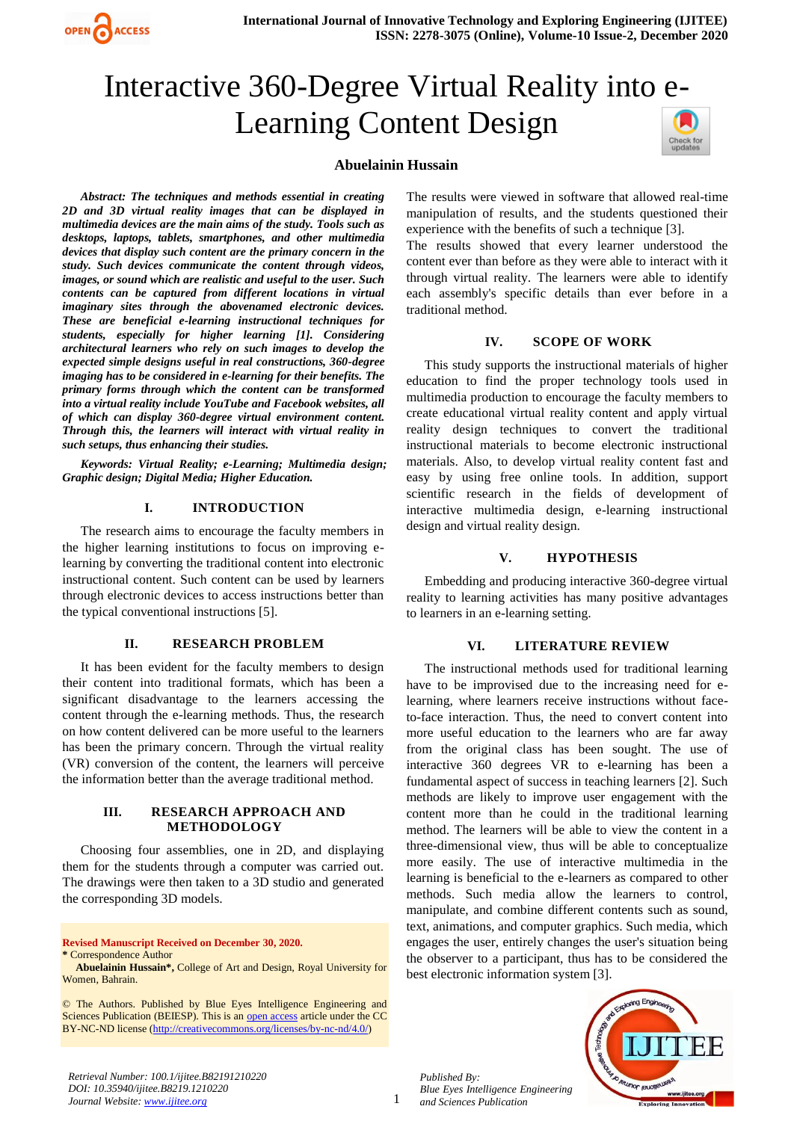

# Interactive 360-Degree Virtual Reality into e-Learning Content Design



## **Abuelainin Hussain**

*Abstract: The techniques and methods essential in creating 2D and 3D virtual reality images that can be displayed in multimedia devices are the main aims of the study. Tools such as desktops, laptops, tablets, smartphones, and other multimedia devices that display such content are the primary concern in the study. Such devices communicate the content through videos, images, or sound which are realistic and useful to the user. Such contents can be captured from different locations in virtual imaginary sites through the abovenamed electronic devices. These are beneficial e-learning instructional techniques for students, especially for higher learning [1]. Considering architectural learners who rely on such images to develop the expected simple designs useful in real constructions, 360-degree imaging has to be considered in e-learning for their benefits. The primary forms through which the content can be transformed into a virtual reality include YouTube and Facebook websites, all of which can display 360-degree virtual environment content. Through this, the learners will interact with virtual reality in such setups, thus enhancing their studies.*

*Keywords: Virtual Reality; e-Learning; Multimedia design; Graphic design; Digital Media; Higher Education.*

#### **I. INTRODUCTION**

The research aims to encourage the faculty members in the higher learning institutions to focus on improving elearning by converting the traditional content into electronic instructional content. Such content can be used by learners through electronic devices to access instructions better than the typical conventional instructions [5].

### **II. RESEARCH PROBLEM**

It has been evident for the faculty members to design their content into traditional formats, which has been a significant disadvantage to the learners accessing the content through the e-learning methods. Thus, the research on how content delivered can be more useful to the learners has been the primary concern. Through the virtual reality (VR) conversion of the content, the learners will perceive the information better than the average traditional method.

#### **III. RESEARCH APPROACH AND METHODOLOGY**

Choosing four assemblies, one in 2D, and displaying them for the students through a computer was carried out. The drawings were then taken to a 3D studio and generated the corresponding 3D models.

**Revised Manuscript Received on December 30, 2020. \*** Correspondence Author

**Abuelainin Hussain\*,** College of Art and Design, Royal University for Women, Bahrain.

© The Authors. Published by Blue Eyes Intelligence Engineering and Sciences Publication (BEIESP). This is an [open access](https://www.openaccess.nl/en/open-publications) article under the CC BY-NC-ND license [\(http://creativecommons.org/licenses/by-nc-nd/4.0/\)](http://creativecommons.org/licenses/by-nc-nd/4.0/)

The results were viewed in software that allowed real-time manipulation of results, and the students questioned their experience with the benefits of such a technique [3].

The results showed that every learner understood the content ever than before as they were able to interact with it through virtual reality. The learners were able to identify each assembly's specific details than ever before in a traditional method.

#### **IV. SCOPE OF WORK**

This study supports the instructional materials of higher education to find the proper technology tools used in multimedia production to encourage the faculty members to create educational virtual reality content and apply virtual reality design techniques to convert the traditional instructional materials to become electronic instructional materials. Also, to develop virtual reality content fast and easy by using free online tools. In addition, support scientific research in the fields of development of interactive multimedia design, e-learning instructional design and virtual reality design.

#### **V. HYPOTHESIS**

Embedding and producing interactive 360-degree virtual reality to learning activities has many positive advantages to learners in an e-learning setting.

#### **VI. LITERATURE REVIEW**

The instructional methods used for traditional learning have to be improvised due to the increasing need for elearning, where learners receive instructions without faceto-face interaction. Thus, the need to convert content into more useful education to the learners who are far away from the original class has been sought. The use of interactive 360 degrees VR to e-learning has been a fundamental aspect of success in teaching learners [2]. Such methods are likely to improve user engagement with the content more than he could in the traditional learning method. The learners will be able to view the content in a three-dimensional view, thus will be able to conceptualize more easily. The use of interactive multimedia in the learning is beneficial to the e-learners as compared to other methods. Such media allow the learners to control, manipulate, and combine different contents such as sound, text, animations, and computer graphics. Such media, which engages the user, entirely changes the user's situation being the observer to a participant, thus has to be considered the best electronic information system [3].



*Retrieval Number: 100.1/ijitee.B82191210220 DOI: 10.35940/ijitee.B8219.1210220 Journal Website: www.ijitee.org*

*Published By:*

*Blue Eyes Intelligence Engineering and Sciences Publication*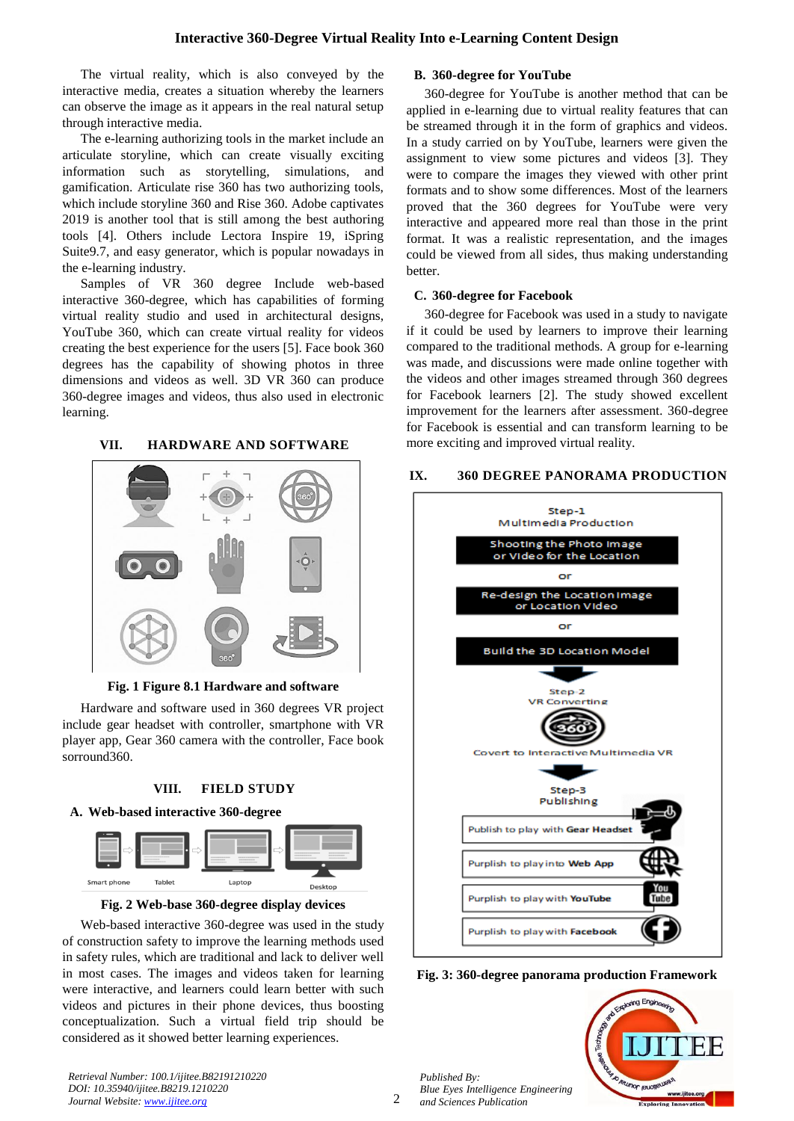The virtual reality, which is also conveyed by the interactive media, creates a situation whereby the learners can observe the image as it appears in the real natural setup through interactive media.

The e-learning authorizing tools in the market include an articulate storyline, which can create visually exciting information such as storytelling, simulations, and gamification. Articulate rise 360 has two authorizing tools, which include storyline 360 and Rise 360. Adobe captivates 2019 is another tool that is still among the best authoring tools [4]. Others include Lectora Inspire 19, iSpring Suite9.7, and easy generator, which is popular nowadays in the e-learning industry.

Samples of VR 360 degree Include web-based interactive 360-degree, which has capabilities of forming virtual reality studio and used in architectural designs, YouTube 360, which can create virtual reality for videos creating the best experience for the users [5]. Face book 360 degrees has the capability of showing photos in three dimensions and videos as well. 3D VR 360 can produce 360-degree images and videos, thus also used in electronic learning.

## **VII. HARDWARE AND SOFTWARE**



**Fig. 1 Figure 8.1 Hardware and software** 

Hardware and software used in 360 degrees VR project include gear headset with controller, smartphone with VR player app, Gear 360 camera with the controller, Face book sorround360.

## **VIII. FIELD STUDY**

#### **A. Web-based interactive 360-degree**



**Fig. 2 Web-base 360-degree display devices**

Web-based interactive 360-degree was used in the study of construction safety to improve the learning methods used in safety rules, which are traditional and lack to deliver well in most cases. The images and videos taken for learning were interactive, and learners could learn better with such videos and pictures in their phone devices, thus boosting conceptualization. Such a virtual field trip should be considered as it showed better learning experiences.

## **B. 360-degree for YouTube**

360-degree for YouTube is another method that can be applied in e-learning due to virtual reality features that can be streamed through it in the form of graphics and videos. In a study carried on by YouTube, learners were given the assignment to view some pictures and videos [3]. They were to compare the images they viewed with other print formats and to show some differences. Most of the learners proved that the 360 degrees for YouTube were very interactive and appeared more real than those in the print format. It was a realistic representation, and the images could be viewed from all sides, thus making understanding better.

#### **C. 360-degree for Facebook**

360-degree for Facebook was used in a study to navigate if it could be used by learners to improve their learning compared to the traditional methods. A group for e-learning was made, and discussions were made online together with the videos and other images streamed through 360 degrees for Facebook learners [2]. The study showed excellent improvement for the learners after assessment. 360-degree for Facebook is essential and can transform learning to be more exciting and improved virtual reality.

#### **IX. 360 DEGREE PANORAMA PRODUCTION**



**Fig. 3: 360-degree panorama production Framework**

*Published By: Blue Eyes Intelligence Engineering and Sciences Publication* 



*Retrieval Number: 100.1/ijitee.B82191210220 DOI: 10.35940/ijitee.B8219.1210220 Journal Website: www.ijitee.org*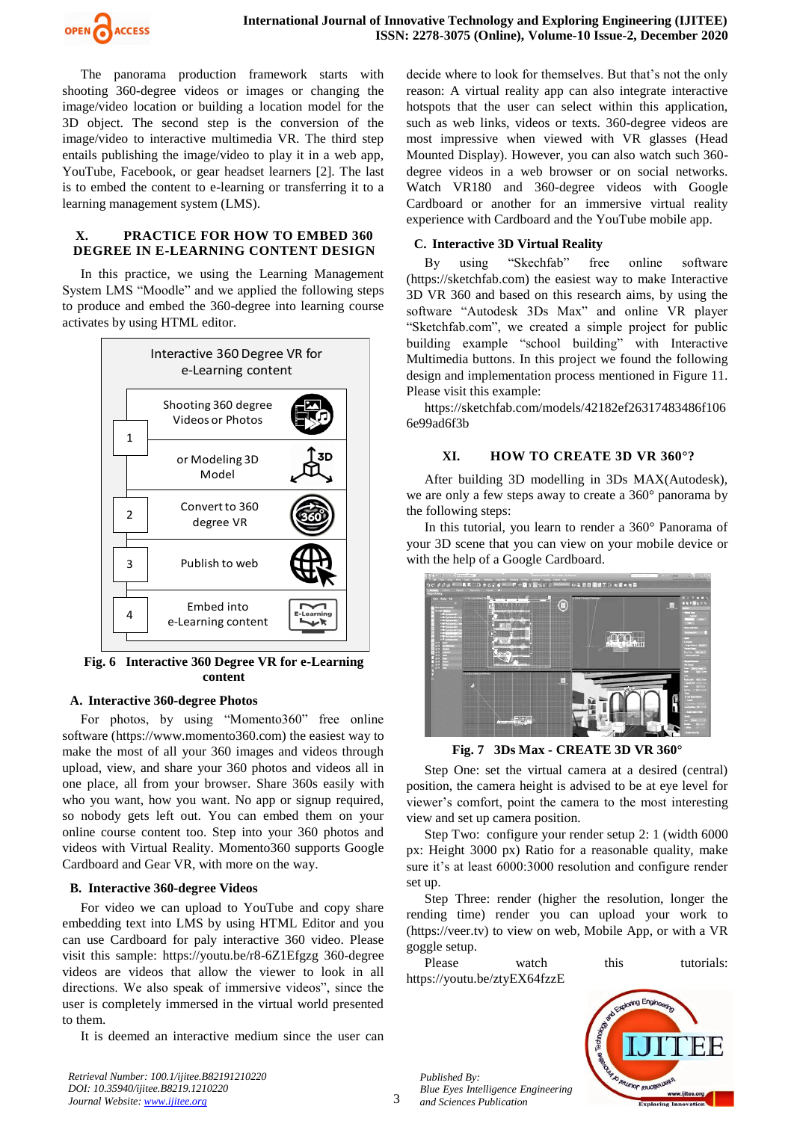

The panorama production framework starts with shooting 360-degree videos or images or changing the image/video location or building a location model for the 3D object. The second step is the conversion of the image/video to interactive multimedia VR. The third step entails publishing the image/video to play it in a web app, YouTube, Facebook, or gear headset learners [2]. The last is to embed the content to e-learning or transferring it to a learning management system (LMS).

#### **X. PRACTICE FOR HOW TO EMBED 360 DEGREE IN E-LEARNING CONTENT DESIGN**

In this practice, we using the Learning Management System LMS "Moodle" and we applied the following steps to produce and embed the 360-degree into learning course activates by using HTML editor.



**Fig. 6 Interactive 360 Degree VR for e-Learning content**

## **A. Interactive 360-degree Photos**

For photos, by using "Momento360" free online software [\(https://www.momento360.com\)](https://www.momento360.com/) the easiest way to make the most of all your 360 images and videos through upload, view, and share your 360 photos and videos all in one place, all from your browser. Share 360s easily with who you want, how you want. No app or signup required, so nobody gets left out. You can embed them on your online course content too. Step into your 360 photos and videos with Virtual Reality. Momento360 supports Google Cardboard and Gear VR, with more on the way.

#### **B. Interactive 360-degree Videos**

For video we can upload to YouTube and copy share embedding text into LMS by using HTML Editor and you can use Cardboard for paly interactive 360 video. Please visit this sample:<https://youtu.be/r8-6Z1Efgzg> 360-degree videos are videos that allow the viewer to look in all directions. We also speak of immersive videos", since the user is completely immersed in the virtual world presented to them.

It is deemed an interactive medium since the user can

decide where to look for themselves. But that's not the only reason: A virtual reality app can also integrate interactive hotspots that the user can select within this application, such as web links, videos or texts. 360-degree videos are most impressive when viewed with VR glasses (Head Mounted Display). However, you can also watch such 360 degree videos in a web browser or on social networks. Watch VR180 and 360-degree videos with Google Cardboard or another for an immersive virtual reality experience with Cardboard and the YouTube mobile app.

#### **C. Interactive 3D Virtual Reality**

By using "Skechfab" free online software [\(https://sketchfab.com\)](https://sketchfab.com/) the easiest way to make Interactive 3D VR 360 and based on this research aims, by using the software "Autodesk 3Ds Max" and online VR player "Sketchfab.com", we created a simple project for public building example "school building" with Interactive Multimedia buttons. In this project we found the following design and implementation process mentioned in Figure 11. Please visit this example:

[https://sketchfab.com/models/42182ef26317483486f106](https://sketchfab.com/models/42182ef26317483486f1066e99ad6f3b) [6e99ad6f3b](https://sketchfab.com/models/42182ef26317483486f1066e99ad6f3b)

#### **XI. HOW TO CREATE 3D VR 360°?**

After building 3D modelling in 3Ds MAX(Autodesk), we are only a few steps away to create a 360° panorama by the following steps:

In this tutorial, you learn to render a 360° Panorama of your 3D scene that you can view on your mobile device or with the help of a Google Cardboard.



**Fig. 7 3Ds Max - CREATE 3D VR 360°**

Step One: set the virtual camera at a desired (central) position, the camera height is advised to be at eye level for viewer's comfort, point the camera to the most interesting view and set up camera position.

Step Two: configure your render setup 2: 1 (width 6000 px: Height 3000 px) Ratio for a reasonable quality, make sure it's at least 6000:3000 resolution and configure render set up.

Step Three: render (higher the resolution, longer the rending time) render you can upload your work to (https://veer.tv) to view on web, Mobile App, or with a VR goggle setup.

Please watch this tutorials: <https://youtu.be/ztyEX64fzzE>



www.ijitee.org

**Jerunor jeriotis** 

*Published By: Blue Eyes Intelligence Engineering and Sciences Publication* 

*Retrieval Number: 100.1/ijitee.B82191210220 DOI: 10.35940/ijitee.B8219.1210220 Journal Website: www.ijitee.org*

3